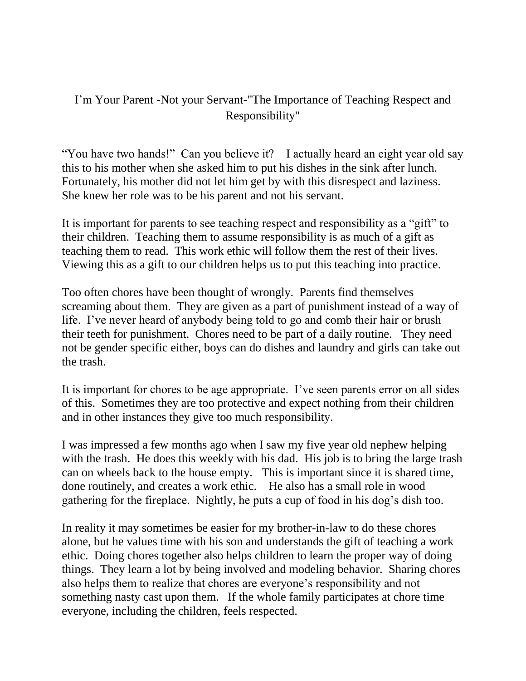## I'm Your Parent -Not your Servant-"The Importance of Teaching Respect and Responsibility"

"You have two hands!" Can you believe it? I actually heard an eight year old say this to his mother when she asked him to put his dishes in the sink after lunch. Fortunately, his mother did not let him get by with this disrespect and laziness. She knew her role was to be his parent and not his servant.

It is important for parents to see teaching respect and responsibility as a "gift" to their children. Teaching them to assume responsibility is as much of a gift as teaching them to read. This work ethic will follow them the rest of their lives. Viewing this as a gift to our children helps us to put this teaching into practice.

Too often chores have been thought of wrongly. Parents find themselves screaming about them. They are given as a part of punishment instead of a way of life. I've never heard of anybody being told to go and comb their hair or brush their teeth for punishment. Chores need to be part of a daily routine. They need not be gender specific either, boys can do dishes and laundry and girls can take out the trash.

It is important for chores to be age appropriate. I've seen parents error on all sides of this. Sometimes they are too protective and expect nothing from their children and in other instances they give too much responsibility.

I was impressed a few months ago when I saw my five year old nephew helping with the trash. He does this weekly with his dad. His job is to bring the large trash can on wheels back to the house empty. This is important since it is shared time, done routinely, and creates a work ethic. He also has a small role in wood gathering for the fireplace. Nightly, he puts a cup of food in his dog's dish too.

In reality it may sometimes be easier for my brother-in-law to do these chores alone, but he values time with his son and understands the gift of teaching a work ethic. Doing chores together also helps children to learn the proper way of doing things. They learn a lot by being involved and modeling behavior. Sharing chores also helps them to realize that chores are everyone's responsibility and not something nasty cast upon them. If the whole family participates at chore time everyone, including the children, feels respected.